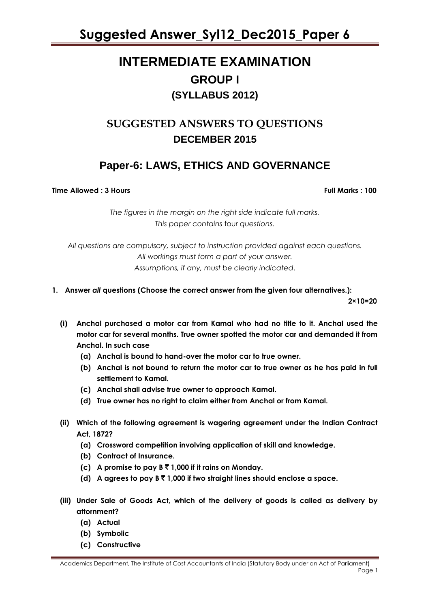### **INTERMEDIATE EXAMINATION GROUP I (SYLLABUS 2012)**

### **SUGGESTED ANSWERS TO QUESTIONS DECEMBER 2015**

### **Paper-6: LAWS, ETHICS AND GOVERNANCE**

**Time Allowed : 3 Hours Full Marks : 100**

*The figures in the margin on the right side indicate full marks. This paper contains* four *questions.*

*All questions are compulsory, subject to instruction provided against each questions. All workings must form a part of your answer. Assumptions, if any, must be clearly indicated*.

**1. Answer** *all* **questions (Choose the correct answer from the given four alternatives.):**

**2×10=20**

- **(i) Anchal purchased a motor car from Kamal who had no title to it. Anchal used the motor car for several months. True owner spotted the motor car and demanded it from Anchal. In such case**
	- **(a) Anchal is bound to hand-over the motor car to true owner.**
	- **(b) Anchal is not bound to return the motor car to true owner as he has paid in full settlement to Kamal.**
	- **(c) Anchal shall advise true owner to approach Kamal.**
	- **(d) True owner has no right to claim either from Anchal or from Kamal.**
- **(ii) Which of the following agreement is wagering agreement under the Indian Contract Act, 1872?**
	- **(a) Crossword competition involving application of skill and knowledge.**
	- **(b) Contract of Insurance.**
	- **(c) A promise to pay B** ` **1,000 if it rains on Monday.**
	- **(d) A agrees to pay B** ` **1,000 if two straight lines should enclose a space.**
- **(iii) Under Sale of Goods Act, which of the delivery of goods is called as delivery by attornment?**
	- **(a) Actual**
	- **(b) Symbolic**
	- **(c) Constructive**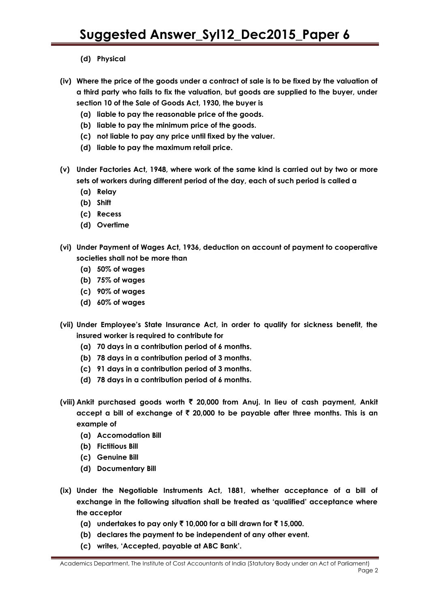- **(d) Physical**
- **(iv) Where the price of the goods under a contract of sale is to be fixed by the valuation of a third party who fails to fix the valuation, but goods are supplied to the buyer, under section 10 of the Sale of Goods Act, 1930, the buyer is**
	- **(a) liable to pay the reasonable price of the goods.**
	- **(b) liable to pay the minimum price of the goods.**
	- **(c) not liable to pay any price until fixed by the valuer.**
	- **(d) liable to pay the maximum retail price.**
- **(v) Under Factories Act, 1948, where work of the same kind is carried out by two or more sets of workers during different period of the day, each of such period is called a**
	- **(a) Relay**
	- **(b) Shift**
	- **(c) Recess**
	- **(d) Overtime**
- **(vi) Under Payment of Wages Act, 1936, deduction on account of payment to cooperative societies shall not be more than**
	- **(a) 50% of wages**
	- **(b) 75% of wages**
	- **(c) 90% of wages**
	- **(d) 60% of wages**
- **(vii) Under Employee"s State Insurance Act, in order to qualify for sickness benefit, the insured worker is required to contribute for**
	- **(a) 70 days in a contribution period of 6 months.**
	- **(b) 78 days in a contribution period of 3 months.**
	- **(c) 91 days in a contribution period of 3 months.**
	- **(d) 78 days in a contribution period of 6 months.**
- **(viii) Ankit purchased goods worth** ` **20,000 from Anuj. In lieu of cash payment, Ankit accept a bill of exchange of** ` **20,000 to be payable after three months. This is an example of**
	- **(a) Accomodation Bill**
	- **(b) Fictitious Bill**
	- **(c) Genuine Bill**
	- **(d) Documentary Bill**
- **(ix) Under the Negotiable Instruments Act, 1881, whether acceptance of a bill of exchange in the following situation shall be treated as "qualified" acceptance where the acceptor**
	- **(a)** undertakes to pay only  $\bar{\tau}$  10,000 for a bill drawn for  $\bar{\tau}$  15,000.
	- **(b) declares the payment to be independent of any other event.**
	- **(c) writes, "Accepted, payable at ABC Bank".**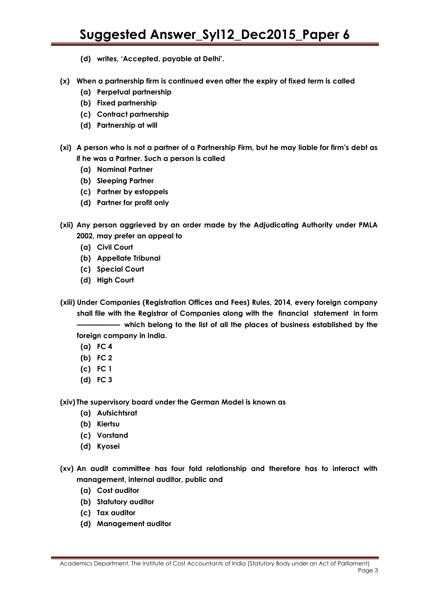- **(d) writes, "Accepted, payable at Delhi".**
- **(x) When a partnership firm is continued even after the expiry of fixed term is called**
	- **(a) Perpetual partnership**
	- **(b) Fixed partnership**
	- **(c) Contract partnership**
	- **(d) Partnership at will**
- **(xi) A person who is not a partner of a Partnership Firm, but he may liable for firm"s debt as if he was a Partner. Such a person is called**
	- **(a) Nominal Partner**
	- **(b) Sleeping Partner**
	- **(c) Partner by estoppels**
	- **(d) Partner for profit only**
- **(xii) Any person aggrieved by an order made by the Adjudicating Authority under PMLA 2002, may prefer an appeal to**
	- **(a) Civil Court**
	- **(b) Appellate Tribunal**
	- **(c) Special Court**
	- **(d) High Court**
- **(xiii) Under Companies (Registration Offices and Fees) Rules, 2014, every foreign company shall file with the Registrar of Companies along with the financial statement in form —————— which belong to the list of all the places of business established by the** 
	- **foreign company in India.**
	- **(a) FC 4 (b) FC 2**
	- **(c) FC 1**
	-
	- **(d) FC 3**

**(xiv) The supervisory board under the German Model is known as**

- **(a) Aufsichtsrat**
- **(b) Kiertsu**
- **(c) Vorstand**
- **(d) Kyosei**
- **(xv) An audit committee has four fold relationship and therefore has to interact with management, internal auditor, public and**
	- **(a) Cost auditor**
	- **(b) Statutory auditor**
	- **(c) Tax auditor**
	- **(d) Management auditor**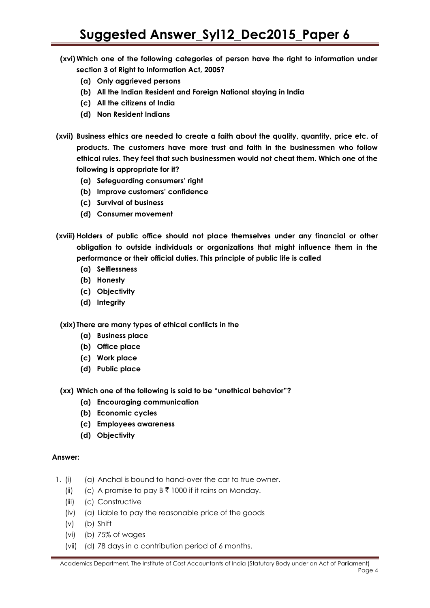- **(xvi) Which one of the following categories of person have the right to information under section 3 of Right to Information Act, 2005?**
	- **(a) Only aggrieved persons**
	- **(b) All the Indian Resident and Foreign National staying in India**
	- **(c) All the citizens of India**
	- **(d) Non Resident Indians**
- **(xvii) Business ethics are needed to create a faith about the quality, quantity, price etc. of products. The customers have more trust and faith in the businessmen who follow ethical rules. They feel that such businessmen would not cheat them. Which one of the following is appropriate for it?**
	- **(a) Sefeguarding consumers" right**
	- **(b) Improve customers" confidence**
	- **(c) Survival of business**
	- **(d) Consumer movement**
- **(xviii) Holders of public office should not place themselves under any financial or other obligation to outside individuals or organizations that might influence them in the performance or their official duties. This principle of public life is called**
	- **(a) Selflessness**
	- **(b) Honesty**
	- **(c) Objectivity**
	- **(d) Integrity**

**(xix) There are many types of ethical conflicts in the**

- **(a) Business place**
- **(b) Office place**
- **(c) Work place**
- **(d) Public place**
- **(xx) Which one of the following is said to be "unethical behavior"?**
	- **(a) Encouraging communication**
	- **(b) Economic cycles**
	- **(c) Employees awareness**
	- **(d) Objectivity**

- 1. (i) (a) Anchal is bound to hand-over the car to true owner.
	- (ii) (c) A promise to pay  $B \bar{\tau}$  1000 if it rains on Monday.
	- (iii) (c) Constructive
	- (iv) (a) Liable to pay the reasonable price of the goods
	- (v) (b) Shift
	- (vi) (b) 75% of wages
	- (vii) (d) 78 days in a contribution period of 6 months.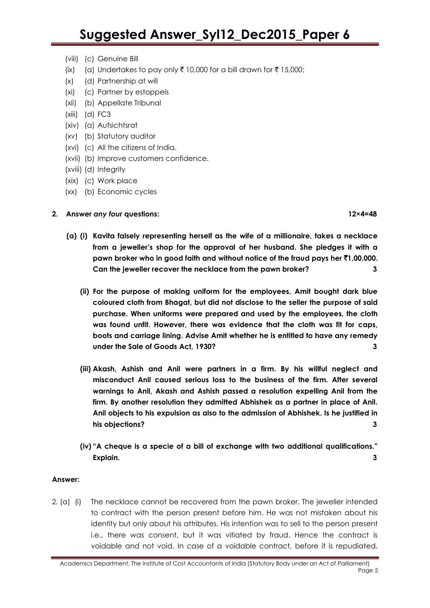- (viii) (c) Genuine Bill
- (ix) (a) Undertakes to pay only  $\bar{\tau}$  10,000 for a bill drawn for  $\bar{\tau}$  15,000;
- (x) (d) Partnership at will
- (xi) (c) Partner by estoppels
- (xii) (b) Appellate Tribunal
- (xiii) (d) FC3
- (xiv) (a) Aufsichtsrat
- (xv) (b) Statutory auditor
- (xvi) (c) All the citizens of India.
- (xvii) (b) Improve customers confidence.
- (xviii) (d) Integrity
- (xix) (c) Work place
- (xx) (b) Economic cycles

#### **2. Answer** *any four* **questions: 12×4=48**

- **(a) (i) Kavita falsely representing herself as the wife of a millionaire, takes a necklace from a jeweller"s shop for the approval of her husband. She pledges it with a pawn broker who in good faith and without notice of the fraud pays her** `**1,00,000. Can the jeweller recover the necklace from the pawn broker? 3**
	- **(ii) For the purpose of making uniform for the employees, Amit bought dark blue coloured cloth from Bhagat, but did not disclose to the seller the purpose of said purchase. When uniforms were prepared and used by the employees, the cloth was found unfit. However, there was evidence that the cloth was fit for caps, boots and carriage lining. Advise Amit whether he is entitled to have any remedy under the Sale of Goods Act, 1930? 3**
	- **(iii) Akash, Ashish and Anil were partners in a firm. By his willful neglect and misconduct Anil caused serious loss to the business of the firm. After several warnings to Anil, Akash and Ashish passed a resolution expelling Anil from the firm. By another resolution they admitted Abhishek as a partner in place of Anil. Anil objects to his expulsion as also to the admission of Abhishek. Is he justified in his objections? 3**
	- **(iv) "A cheque is a specie of a bill of exchange with two additional qualifications." Explain. 3**

#### **Answer:**

2. (a) (i) The necklace cannot be recovered from the pawn broker. The jeweller intended to contract with the person present before him. He was not mistaken about his identity but only about his attributes. His intention was to sell to the person present i.e., there was consent, but it was vitiated by fraud. Hence the contract is voidable and not void. In case of a voidable contract, before it is repudiated,

Academics Department, The Institute of Cost Accountants of India (Statutory Body under an Act of Parliament) Page 5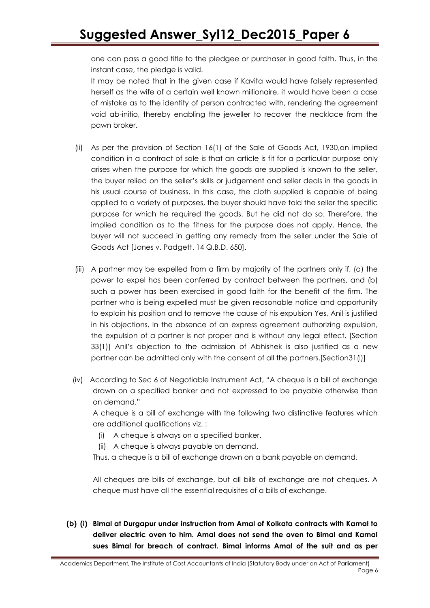one can pass a good title to the pledgee or purchaser in good faith. Thus, in the instant case, the pledge is valid.

It may be noted that in the given case if Kavita would have falsely represented herself as the wife of a certain well known millionaire, it would have been a case of mistake as to the identity of person contracted with, rendering the agreement void ab-initio, thereby enabling the jeweller to recover the necklace from the pawn broker.

- (ii) As per the provision of Section 16(1) of the Sale of Goods Act, 1930,an implied condition in a contract of sale is that an article is fit for a particular purpose only arises when the purpose for which the goods are supplied is known to the seller, the buyer relied on the seller"s skills or judgement and seller deals in the goods in his usual course of business. In this case, the cloth supplied is capable of being applied to a variety of purposes, the buyer should have told the seller the specific purpose for which he required the goods. But he did not do so. Therefore, the implied condition as to the fitness for the purpose does not apply. Hence, the buyer will not succeed in getting any remedy from the seller under the Sale of Goods Act [Jones v. Padgett. 14 Q.B.D. 650].
- (iii) A partner may be expelled from a firm by majority of the partners only if, (a) the power to expel has been conferred by contract between the partners, and (b) such a power has been exercised in good faith for the benefit of the firm. The partner who is being expelled must be given reasonable notice and opportunity to explain his position and to remove the cause of his expulsion Yes, Anil is justified in his objections. In the absence of an express agreement authorizing expulsion, the expulsion of a partner is not proper and is without any legal effect. [Section 33(1)] Anil"s objection to the admission of Abhishek is also justified as a new partner can be admitted only with the consent of all the partners.[Section31(I)]
- (iv) According to Sec 6 of Negotiable Instrument Act, "A cheque is a bill of exchange drawn on a specified banker and not expressed to be payable otherwise than on demand."

A cheque is a bill of exchange with the following two distinctive features which are additional qualifications viz. :

- (i) A cheque is always on a specified banker.
- (ii) A cheque is always payable on demand.

Thus, a cheque is a bill of exchange drawn on a bank payable on demand.

All cheques are bills of exchange, but all bills of exchange are not cheques. A cheque must have all the essential requisites of a bills of exchange.

**(b) (i) Bimal at Durgapur under instruction from Amal of Kolkata contracts with Kamal to deliver electric oven to him. Amal does not send the oven to Bimal and Kamal sues Bimal for breach of contract. Bimal informs Amal of the suit and as per**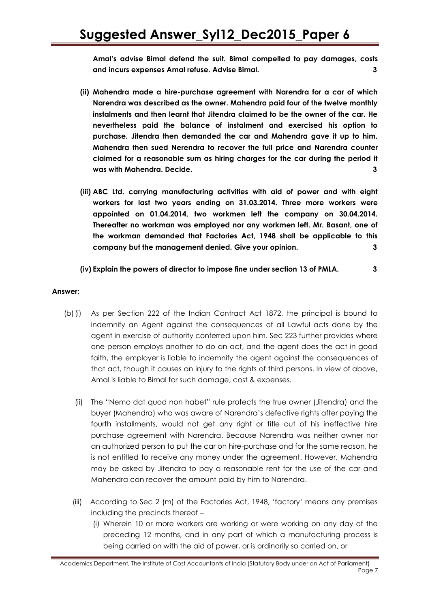**Amal"s advise Bimal defend the suit. Bimal compelled to pay damages, costs and incurs expenses Amal refuse. Advise Bimal. 3**

- **(ii) Mahendra made a hire-purchase agreement with Narendra for a car of which Narendra was described as the owner. Mahendra paid four of the twelve monthly instalments and then learnt that Jitendra claimed to be the owner of the car. He nevertheless paid the balance of instalment and exercised his option to purchase. Jitendra then demanded the car and Mahendra gave it up to him. Mahendra then sued Nerendra to recover the full price and Narendra counter claimed for a reasonable sum as hiring charges for the car during the period it was with Mahendra. Decide. 3**
- **(iii) ABC Ltd. carrying manufacturing activities with aid of power and with eight workers for last two years ending on 31.03.2014. Three more workers were appointed on 01.04.2014, two workmen left the company on 30.04.2014. Thereafter no workman was employed nor any workmen left. Mr. Basant, one of the workman demanded that Factories Act, 1948 shall be applicable to this company but the management denied. Give your opinion. 3**

#### **(iv) Explain the powers of director to impose fine under section 13 of PMLA. 3**

- (b)(i) As per Section 222 of the Indian Contract Act 1872, the principal is bound to indemnify an Agent against the consequences of all Lawful acts done by the agent in exercise of authority conferred upon him. Sec 223 further provides where one person employs another to do an act, and the agent does the act in good faith, the employer is liable to indemnify the agent against the consequences of that act, though it causes an injury to the rights of third persons. In view of above, Amal is liable to Bimal for such damage, cost & expenses.
	- (ii) The "Nemo dat quod non habet" rule protects the true owner (Jitendra) and the buyer (Mahendra) who was aware of Narendra"s defective rights after paying the fourth installments, would not get any right or title out of his ineffective hire purchase agreement with Narendra. Because Narendra was neither owner nor an authorized person to put the car on hire-purchase and for the same reason, he is not entitled to receive any money under the agreement. However, Mahendra may be asked by Jitendra to pay a reasonable rent for the use of the car and Mahendra can recover the amount paid by him to Narendra.
	- (iii) According to Sec 2 (m) of the Factories Act, 1948, "factory" means any premises including the precincts thereof –
		- (i) Wherein 10 or more workers are working or were working on any day of the preceding 12 months, and in any part of which a manufacturing process is being carried on with the aid of power, or is ordinarily so carried on, or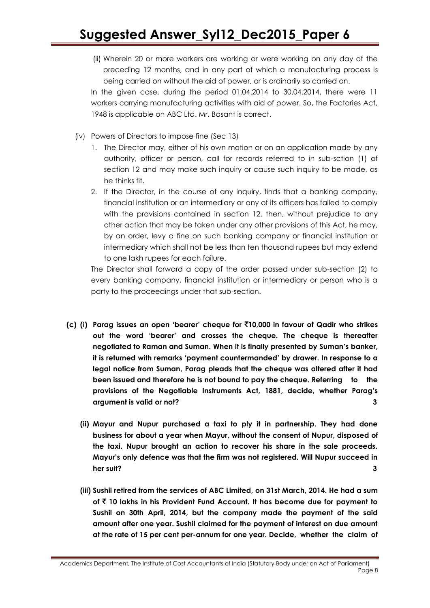(ii) Wherein 20 or more workers are working or were working on any day of the preceding 12 months, and in any part of which a manufacturing process is being carried on without the aid of power, or is ordinarily so carried on.

In the given case, during the period 01.04.2014 to 30.04.2014, there were 11 workers carrying manufacturing activities with aid of power. So, the Factories Act, 1948 is applicable on ABC Ltd. Mr. Basant is correct.

- (iv) Powers of Directors to impose fine (Sec 13)
	- 1. The Director may, either of his own motion or on an application made by any authority, officer or person, call for records referred to in sub-sction (1) of section 12 and may make such inquiry or cause such inquiry to be made, as he thinks fit.
	- 2. If the Director, in the course of any inquiry, finds that a banking company, financial institution or an intermediary or any of its officers has failed to comply with the provisions contained in section 12, then, without prejudice to any other action that may be taken under any other provisions of this Act, he may, by an order, levy a fine on such banking company or financial institution or intermediary which shall not be less than ten thousand rupees but may extend to one lakh rupees for each failure.

The Director shall forward a copy of the order passed under sub-section (2) to every banking company, financial institution or intermediary or person who is a party to the proceedings under that sub-section.

- **(c) (i) Parag issues an open "bearer" cheque for** `**10,000 in favour of Qadir who strikes out the word "bearer" and crosses the cheque. The cheque is thereafter negotiated to Raman and Suman. When it is finally presented by Suman"s banker, it is returned with remarks "payment countermanded" by drawer. In response to a legal notice from Suman, Parag pleads that the cheque was altered after it had been issued and therefore he is not bound to pay the cheque. Referring to the provisions of the Negotiable Instruments Act, 1881, decide, whether Parag"s argument is valid or not? 3**
	- **(ii) Mayur and Nupur purchased a taxi to ply it in partnership. They had done business for about a year when Mayur, without the consent of Nupur, disposed of the taxi. Nupur brought an action to recover his share in the sale proceeds. Mayur"s only defence was that the firm was not registered. Will Nupur succeed in her suit? 3**
	- **(iii) Sushil retired from the services of ABC Limited, on 31st March, 2014. He had a sum of** ` **10 lakhs in his Provident Fund Account. It has become due for payment to Sushil on 30th April, 2014, but the company made the payment of the said amount after one year. Sushil claimed for the payment of interest on due amount at the rate of 15 per cent per-annum for one year. Decide, whether the claim of**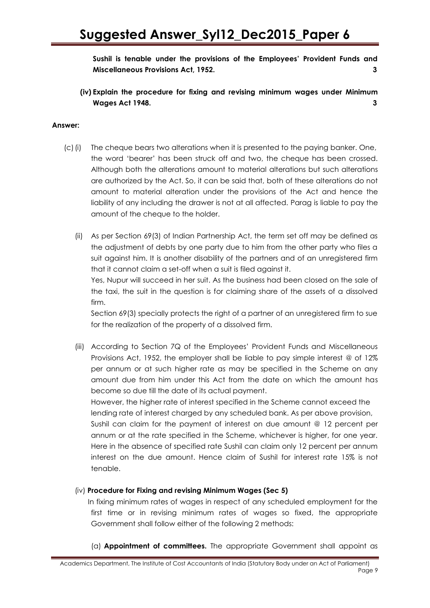**Sushil is tenable under the provisions of the Employees" Provident Funds and Miscellaneous Provisions Act, 1952. 3**

**(iv) Explain the procedure for fixing and revising minimum wages under Minimum Wages Act 1948. 3**

#### **Answer:**

- (c)(i) The cheque bears two alterations when it is presented to the paying banker. One, the word "bearer" has been struck off and two, the cheque has been crossed. Although both the alterations amount to material alterations but such alterations are authorized by the Act. So, it can be said that, both of these alterations do not amount to material alteration under the provisions of the Act and hence the liability of any including the drawer is not at all affected. Parag is liable to pay the amount of the cheque to the holder.
	- (ii) As per Section 69(3) of Indian Partnership Act, the term set off may be defined as the adjustment of debts by one party due to him from the other party who files a suit against him. It is another disability of the partners and of an unregistered firm that it cannot claim a set-off when a suit is filed against it.

Yes, Nupur will succeed in her suit. As the business had been closed on the sale of the taxi, the suit in the question is for claiming share of the assets of a dissolved firm.

Section 69(3) specially protects the right of a partner of an unregistered firm to sue for the realization of the property of a dissolved firm.

(iii) According to Section 7Q of the Employees" Provident Funds and Miscellaneous Provisions Act, 1952, the employer shall be liable to pay simple interest *@* of 12% per annum or at such higher rate as may be specified in the Scheme on any amount due from him under this Act from the date on which the amount has become so due till the date of its actual payment.

However, the higher rate of interest specified in the Scheme cannot exceed the lending rate of interest charged by any scheduled bank. As per above provision,

Sushil can claim for the payment of interest on due amount @ 12 percent per annum or at the rate specified in the Scheme, whichever is higher, for one year. Here in the absence of specified rate Sushil can claim only 12 percent per annum interest on the due amount. Hence claim of Sushil for interest rate 15% is not tenable.

#### (iv) **Procedure for Fixing and revising Minimum Wages (Sec 5)**

In fixing minimum rates of wages in respect of any scheduled employment for the first time or in revising minimum rates of wages so fixed, the appropriate Government shall follow either of the following 2 methods:

(a) **Appointment of committees.** The appropriate Government shall appoint as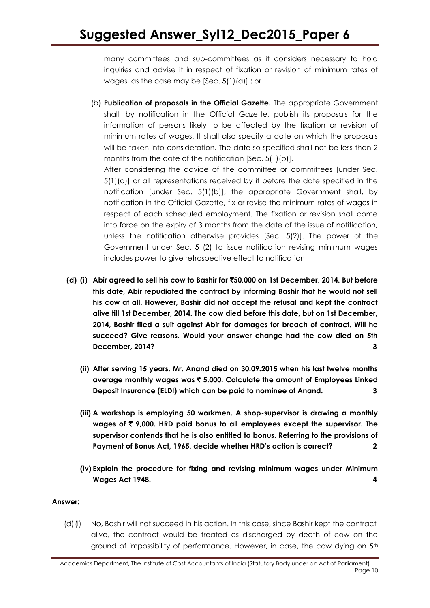many committees and sub-committees as it considers necessary to hold inquiries and advise it in respect of fixation or revision of minimum rates of wages, as the case may be  $[Sec. 5(1)(a)]$ ; or

(b) **Publication of proposals in the Official Gazette.** The appropriate Government shall, by notification in the Official Gazette, publish its proposals for the information of persons likely to be affected by the fixation or revision of minimum rates of wages. It shall also specify a date on which the proposals will be taken into consideration. The date so specified shall not be less than 2 months from the date of the notification [Sec. 5(1)(b)].

After considering the advice of the committee or committees [under Sec. 5(1)(a)] or all representations received by it before the date specified in the notification [under Sec. 5(1)(b)], the appropriate Government shall, by notification in the Official Gazette, fix or revise the minimum rates of wages in respect of each scheduled employment. The fixation or revision shall come into force on the expiry of 3 months from the date of the issue of notification, unless the notification otherwise provides [Sec. 5(2)]. The power of the Government under Sec. 5 (2) to issue notification revising minimum wages includes power to give retrospective effect to notification

- **(d) (i) Abir agreed to sell his cow to Bashir for** `**50,000 on 1st December, 2014. But before this date, Abir repudiated the contract by informing Bashir that he would not sell his cow at all. However, Bashir did not accept the refusal and kept the contract alive till 1st December, 2014. The cow died before this date, but on 1st December, 2014, Bashir filed a suit against Abir for damages for breach of contract. Will he succeed? Give reasons. Would your answer change had the cow died on 5th December, 2014? 3**
	- **(ii) After serving 15 years, Mr. Anand died on 30.09.2015 when his last twelve months average monthly wages was** ` **5,000. Calculate the amount of Employees Linked Deposit Insurance (ELDI) which can be paid to nominee of Anand. 3**
	- **(iii) A workshop is employing 50 workmen. A shop-supervisor is drawing a monthly wages of** ` **9,000. HRD paid bonus to all employees except the supervisor. The supervisor contends that he is also entitled to bonus. Referring to the provisions of Payment of Bonus Act, 1965, decide whether HRD"s action is correct? 2**
	- **(iv) Explain the procedure for fixing and revising minimum wages under Minimum Wages Act 1948. 4**

### **Answer:**

(d)(i) No, Bashir will not succeed in his action. In this case, since Bashir kept the contract alive, the contract would be treated as discharged by death of cow on the ground of impossibility of performance. However, in case, the cow dying on 5th

Academics Department, The Institute of Cost Accountants of India (Statutory Body under an Act of Parliament) Page 10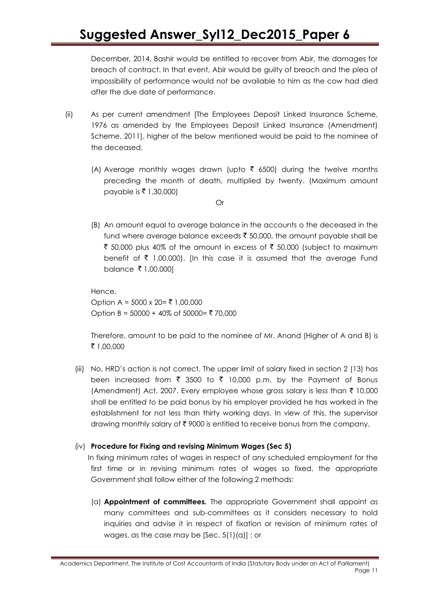December, 2014, Bashir would be entitled to recover from Abir, the damages for breach of contract. In that event, Abir would be guilty of breach and the plea of impossibility of performance would not be available to him as the cow had died after the due date of performance.

- (ii) As per current amendment [The Employees Deposit Linked Insurance Scheme, 1976 as amended by the Employees Deposit Linked Insurance (Amendment) Scheme, 2011], higher of the below mentioned would be paid to the nominee of the deceased.
	- (A) Average monthly wages drawn (upto  $\bar{\tau}$  6500) during the twelve months preceding the month of death, multiplied by twenty. (Maximum amount payable is ₹ 1,30,000)

Or

(B) An amount equal to average balance in the accounts o the deceased in the fund where average balance exceeds  $\bar{\tau}$  50,000, the amount payable shall be ₹ 50,000 plus 40% of the amount in excess of ₹ 50,000 (subject to maximum benefit of  $\bar{\tau}$  1,00,000). [In this case it is assumed that the average Fund balance ₹ 1,00,000]

Hence,

Option A =  $5000 \times 20 = ₹1,00,000$ Option B = 50000 + 40% of 50000 = ₹ 70,000

Therefore, amount to be paid to the nominee of Mr. Anand (Higher of A and B) is ` 1,00,000

(iii) No, HRD"s action is not correct. The upper limit of salary fixed in section 2 (13) has been increased from  $\bar{\tau}$  3500 to  $\bar{\tau}$  10,000 p.m. by the Payment of Bonus (Amendment) Act, 2007. Every employee whose gross salary is less than  $\bar{\tau}$  10,000 shall be entitled *to* be paid bonus by his employer provided he has worked in the establishment for not less than thirty working days. In view of this, the supervisor drawing monthly salary of  $\bar{\tau}$  9000 is entitled to receive bonus from the company.

### (iv) **Procedure for Fixing and revising Minimum Wages (Sec 5)**

In fixing minimum rates of wages in respect of any scheduled employment for the first time or in revising minimum rates of wages so fixed, the appropriate Government shall follow either of the following 2 methods:

(a) **Appointment of committees.** The appropriate Government shall appoint as many committees and sub-committees as it considers necessary to hold inquiries and advise it in respect of fixation or revision of minimum rates of wages, as the case may be [Sec. 5(1)(a)] ; or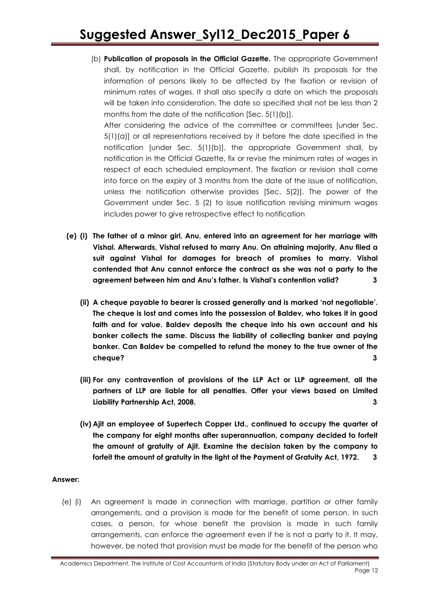(b) **Publication of proposals in the Official Gazette.** The appropriate Government shall, by notification in the Official Gazette, publish its proposals for the information of persons likely to be affected by the fixation or revision of minimum rates of wages. It shall also specify a date on which the proposals will be taken into consideration. The date so specified shall not be less than 2 months from the date of the notification [Sec. 5(1)(b)].

After considering the advice of the committee or committees [under Sec. 5(1)(a)] or all representations received by it before the date specified in the notification [under Sec. 5(1)(b)], the appropriate Government shall, by notification in the Official Gazette, fix or revise the minimum rates of wages in respect of each scheduled employment. The fixation or revision shall come into force on the expiry of 3 months from the date of the issue of notification, unless the notification otherwise provides [Sec. 5(2)]. The power of the Government under Sec. 5 (2) to issue notification revising minimum wages includes power to give retrospective effect to notification

- **(e) (i) The father of a minor girl, Anu, entered into an agreement for her marriage with Vishal. Afterwards, Vishal refused to marry Anu. On attaining majority, Anu filed a suit against Vishal for damages for breach of promises to marry. Vishal contended that Anu cannot enforce the contract as she was not a party to the agreement between him and Anu"s father. Is Vishal"s contention valid? 3**
	- **(ii) A cheque payable to bearer is crossed generally and is marked "not negotiable". The cheque is lost and comes into the possession of Baldev, who takes it in good faith and for value. Baldev deposits the cheque into his own account and his banker collects the same. Discuss the liability of collecting banker and paying banker. Can Baldev be compelled to refund the money to the true owner of the cheque? 3**
	- **(iii) For any contravention of provisions of the LLP Act or LLP agreement, all the partners of LLP are liable for all penalties. Offer your views based on Limited Liability Partnership Act, 2008. 3**
	- **(iv) Ajit an employee of Supertech Copper Ltd., continued to occupy the quarter of the company for eight months after superannuation, company decided to forfeit the amount of gratuity of Ajit. Examine the decision taken by the company to forfeit the amount of gratuity in the light of the Payment of Gratuity Act, 1972. 3**

### **Answer:**

(e) (i) An agreement is made in connection with marriage, partition or other family arrangements, and a provision is made for the benefit of some person. In such cases, a person, for whose benefit the provision is made in such family arrangements, can enforce the agreement even if he is not a party to it. It may, however, be noted that provision must be made for the benefit of the person who

Academics Department, The Institute of Cost Accountants of India (Statutory Body under an Act of Parliament) Page 12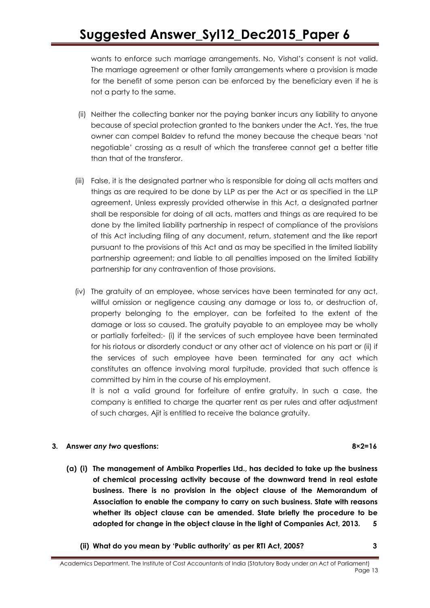wants to enforce such marriage arrangements. No, Vishal"s consent is not valid. The marriage agreement or other family arrangements where a provision is made for the benefit of some person can be enforced by the beneficiary even if he is not a party to the same.

- (ii) Neither the collecting banker nor the paying banker incurs any liability to anyone because of special protection granted to the bankers under the Act. Yes, the true owner can compel Baldev to refund the money because the cheque bears "not negotiable" crossing as a result of which the transferee cannot get a better title than that of the transferor.
- (iii) False, it is the designated partner who is responsible for doing all acts matters and things as are required to be done by LLP as per the Act or as specified in the LLP agreement, Unless expressly provided otherwise in this Act, a designated partner shall be responsible for doing of all acts, matters and things as are required to be done by the limited liability partnership in respect of compliance of the provisions of this Act including filing of any document, return, statement and the like report pursuant to the provisions of this Act and as may be specified in the limited liability partnership agreement; and liable to all penalties imposed on the limited liability partnership for any contravention of those provisions.
- (iv) The gratuity of an employee, whose services have been terminated for any act, willful omission or negligence causing any damage or loss to, or destruction of, property belonging to the employer, can be forfeited to the extent of the damage or loss so caused. The gratuity payable to an employee may be wholly or partially forfeited:- (i) if the services of such employee have been terminated for his riotous or disorderly conduct or any other act of violence on his part or (ii) if the services of such employee have been terminated for any act which constitutes an offence involving moral turpitude, provided that such offence is committed by him in the course of his employment.

It is not a valid ground for forfeiture of entire gratuity. In such a case, the company is entitled to charge the quarter rent as per rules and after adjustment of such charges, Ajit is entitled to receive the balance gratuity.

### **3. Answer** *any two* **questions: 8×2=16**

- **(a) (i) The management of Ambika Properties Ltd., has decided to take up the business of chemical processing activity because of the downward trend in real estate business. There is no provision in the object clause of the Memorandum of Association to enable the company to carry on such business. State with reasons whether its object clause can be amended. State briefly the procedure to be adopted for change in the object clause in the light of Companies Act, 2013. 5**
	- **(ii) What do you mean by "Public authority" as per RTI Act, 2005? 3**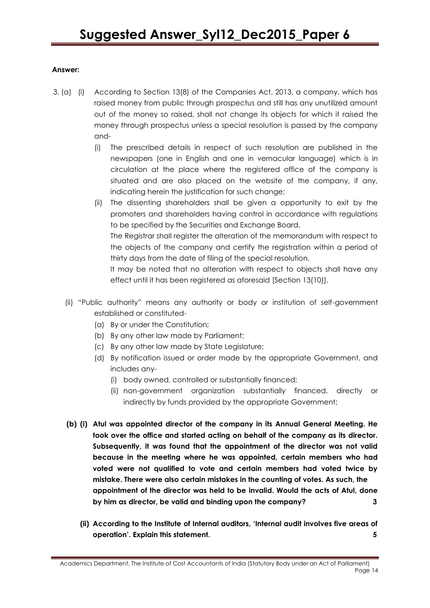### **Answer:**

- 3. (a) (i) According to Section 13(8) of the Companies Act, 2013, a company, which has raised money from public through prospectus and still has any unutilized amount out of the money so raised, shall not change its objects for which it raised the money through prospectus unless a special resolution is passed by the company and-
	- (i) The prescribed details in respect of such resolution are published in the newspapers (one in English and one in vernacular language) which is in circulation at the place where the registered office of the company is situated and are also placed on the website of the company, if any, indicating herein the justification for such change;
	- (ii) The dissenting shareholders shall be given a opportunity to exit by the promoters and shareholders having control in accordance with regulations to be specified by the Securities and Exchange Board.

The Registrar shall register the alteration of the memorandum with respect to the objects of the company and certify the registration within a period of thirty days from the date of filing of the special resolution.

It may be noted that no alteration with respect to objects shall have any effect until it has been registered as aforesaid [Section 13(10)].

- (ii) "Public authority" means any authority or body or institution of self-government established or constituted-
	- (a) By or under the Constitution;
	- (b) By any other law made by Parliament;
	- (c) By any other law made by State Legislature;
	- (d) By notification issued or order made by the appropriate Government, and includes any-
		- (i) body owned, controlled or substantially financed;
		- (ii) non-government organization substantially financed, directly or indirectly by funds provided by the appropriate Government;
- **(b) (i) Atul was appointed director of the company in its Annual General Meeting. He took over the office and started acting on behalf of the company as its director. Subsequently, it was found that the appointment of the director was not valid because in the meeting where he was appointed, certain members who had voted were not qualified to vote and certain members had voted twice by mistake. There were also certain mistakes in the counting of votes. As such, the appointment of the director was held to be invalid. Would the acts of Atul, done by him as director, be valid and binding upon the company? 3**
	- **(ii) According to the Institute of Internal auditors, "Internal audit involves five areas of operation". Explain this statement. 5**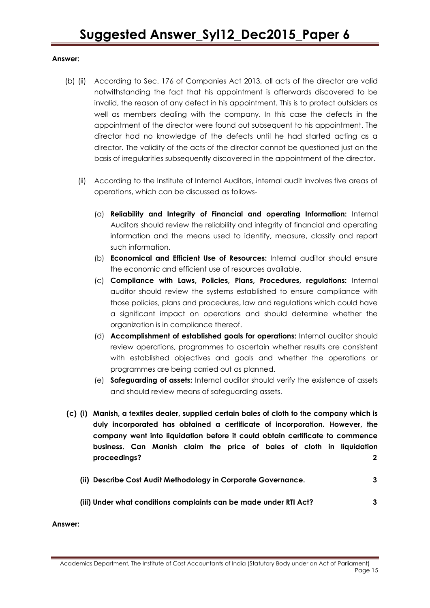#### **Answer:**

- (b) (ii) According to Sec. 176 of Companies Act 2013, all acts of the director are valid notwithstanding the fact that his appointment is afterwards discovered to be invalid, the reason of any defect in his appointment. This is to protect outsiders as well as members dealing with the company. In this case the defects in the appointment of the director were found out subsequent to his appointment. The director had no knowledge of the defects until he had started acting as a director. The validity of the acts of the director cannot be questioned just on the basis of irregularities subsequently discovered in the appointment of the director.
	- (ii) According to the Institute of Internal Auditors, internal audit involves five areas of operations, which can be discussed as follows-
		- (a) **Reliability and Integrity of Financial and operating Information:** Internal Auditors should review the reliability and integrity of financial and operating information and the means used to identify, measure, classify and report such information.
		- (b) **Economical and Efficient Use of Resources:** Internal auditor should ensure the economic and efficient use of resources available.
		- (c) **Compliance with Laws, Policies, Plans, Procedures, regulations:** Internal auditor should review the systems established to ensure compliance with those policies, plans and procedures, law and regulations which could have a significant impact on operations and should determine whether the organization is in compliance thereof.
		- (d) **Accomplishment of established goals for operations:** Internal auditor should review operations, programmes to ascertain whether results are consistent with established objectives and goals and whether the operations or programmes are being carried out as planned.
		- (e) **Safeguarding of assets:** Internal auditor should verify the existence of assets and should review means of safeguarding assets.
- **(c) (i) Manish, a textiles dealer, supplied certain bales of cloth to the company which is duly incorporated has obtained a certificate of incorporation. However, the company went into liquidation before it could obtain certificate to commence business. Can Manish claim the price of bales of cloth in liquidation proceedings? 2**
	- **(ii) Describe Cost Audit Methodology in Corporate Governance. 3**
	- **(iii) Under what conditions complaints can be made under RTI Act? 3**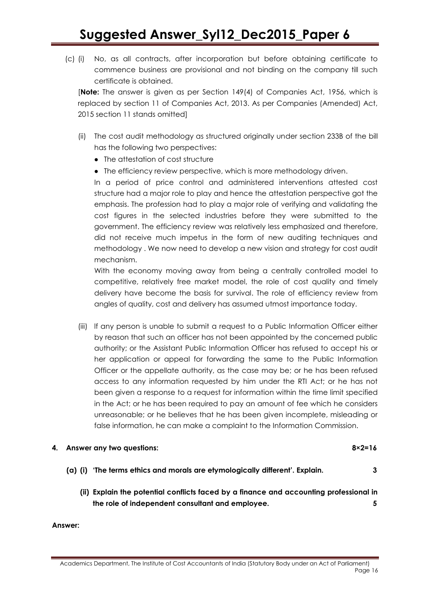(c) (i) No, as all contracts, after incorporation but before obtaining certificate to commence business are provisional and not binding on the company till such certificate is obtained.

[**Note:** The answer is given as per Section 149(4) of Companies Act, 1956, which is replaced by section 11 of Companies Act, 2013. As per Companies (Amended) Act, 2015 section 11 stands omitted]

- (ii) The cost audit methodology as structured originally under section 233B of the bill has the following two perspectives:
	- The attestation of cost structure
	- The efficiency review perspective, which is more methodology driven.

In a period of price control and administered interventions attested cost structure had a major role to play and hence the attestation perspective got the emphasis. The profession had to play a major role of verifying and validating the cost figures in the selected industries before they were submitted to the government. The efficiency review was relatively less emphasized and therefore, did not receive much impetus in the form of new auditing techniques and methodology . We now need to develop a new vision and strategy for cost audit mechanism.

With the economy moving away from being a centrally controlled model to competitive, relatively free market model, the role of cost quality and timely delivery have become the basis for survival. The role of efficiency review from angles of quality, cost and delivery has assumed utmost importance today.

(iii) lf any person is unable to submit a request to a Public Information Officer either by reason that such an officer has not been appointed by the concerned public authority; or the Assistant Public Information Officer has refused to accept his or her application or appeal for forwarding the same to the Public Information Officer or the appellate authority, as the case may be; or he has been refused access to any information requested by him under the RTI Act; or he has not been given a response to a request for information within the time limit specified in the Act; or he has been required to pay an amount of fee which he considers unreasonable; or he believes that he has been given incomplete, misleading or false information, he can make a complaint to the Information Commission.

#### **4. Answer any two questions: 8×2=16**

- **(a) (i) "The terms ethics and morals are etymologically different". Explain. 3**
	- **(ii) Explain the potential conflicts faced by a finance and accounting professional in the role of independent consultant and employee. 5**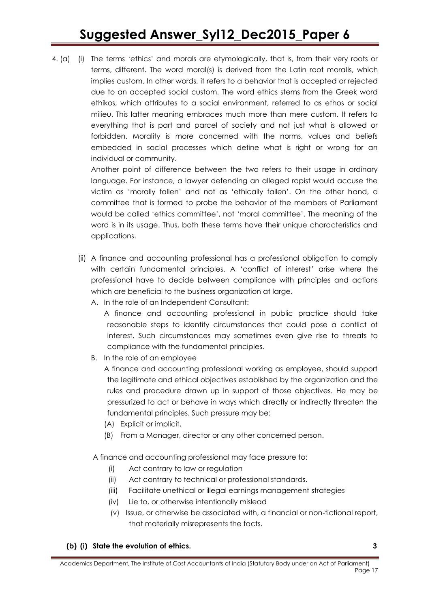4. (a) (i) The terms 'ethics' and morals are etymologically, that is, from their very roots or terms, different. The word moral(s) is derived from the Latin root moralis, which implies custom. In other words, it refers to a behavior that is accepted or rejected due to an accepted social custom. The word ethics stems from the Greek word ethikos, which attributes to a social environment, referred to as ethos or social milieu. This latter meaning embraces much more than mere custom. It refers to everything that is part and parcel of society and not just what is allowed or forbidden. Morality is more concerned with the norms, values and beliefs embedded in social processes which define what is right or wrong for an individual or community.

> Another point of difference between the two refers to their usage in ordinary language. For instance, a lawyer defending an alleged rapist would accuse the victim as "morally fallen" and not as "ethically fallen". On the other hand, a committee that is formed to probe the behavior of the members of Parliament would be called "ethics committee", not "moral committee". The meaning of the word is in its usage. Thus, both these terms have their unique characteristics and applications.

- (ii) A finance and accounting professional has a professional obligation to comply with certain fundamental principles. A 'conflict of interest' arise where the professional have to decide between compliance with principles and actions which are beneficial to the business organization at large.
	- A. In the role of an Independent Consultant:
		- A finance and accounting professional in public practice should take reasonable steps to identify circumstances that could pose a conflict of interest. Such circumstances may sometimes even give rise to threats to compliance with the fundamental principles.
	- B. In the role of an employee
		- A finance and accounting professional working as employee, should support the legitimate and ethical objectives established by the organization and the rules and procedure drawn up in support of those objectives. He may be pressurized to act or behave in ways which directly or indirectly threaten the fundamental principles. Such pressure may be:
		- (A) Explicit or implicit,
		- (B) From a Manager, director or any other concerned person.

A finance and accounting professional may face pressure to:

- (i) Act contrary to law or regulation
- (ii) Act contrary to technical or professional standards.
- (iii) Facilitate unethical or illegal earnings management strategies
- (iv) Lie to, or otherwise intentionally mislead
- (v) Issue, or otherwise be associated with, a financial or non-fictional report, that materially misrepresents the facts.

### **(b) (i) State the evolution of ethics. 3**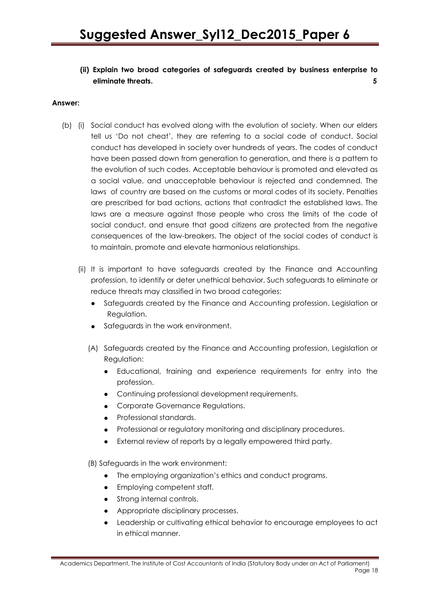**(ii) Explain two broad categories of safeguards created by business enterprise to eliminate threats. 5**

#### **Answer:**

- (b) (i) Social conduct has evolved along with the evolution of society. When our elders tell us "Do not cheat", they are referring to a social code of conduct. Social conduct has developed in society over hundreds of years. The codes of conduct have been passed down from generation to generation, and there is a pattern to the evolution of such codes. Acceptable behaviour is promoted and elevated as a social value, and unacceptable behaviour is rejected and condemned. The laws of country are based on the customs or moral codes of its society. Penalties are prescribed for bad actions, actions that contradict the established laws. The laws are a measure against those people who cross the limits of the code of social conduct, and ensure that good citizens are protected from the negative consequences of the law-breakers. The object of the social codes of conduct is to maintain, promote and elevate harmonious relationships.
	- (ii) It is important to have safeguards created by the Finance and Accounting profession, to identify or deter unethical behavior. Such safeguards to eliminate or reduce threats may classified in two broad categories:
		- Safeguards created by the Finance and Accounting profession, Legislation or Regulation.
		- Safeguards in the work environment.
		- (A) Safeguards created by the Finance and Accounting profession, Legislation or Regulation:
			- Educational, training and experience requirements for entry into the profession.
			- Continuing professional development requirements.
			- Corporate Governance Regulations.
			- Professional standards.
			- Professional or regulatory monitoring and disciplinary procedures.
			- External review of reports by a legally empowered third party.

(B) Safeguards in the work environment:

- The employing organization's ethics and conduct programs.
- Employing competent staff.
- Strong internal controls.
- Appropriate disciplinary processes.
- Leadership or cultivating ethical behavior to encourage employees to act in ethical manner.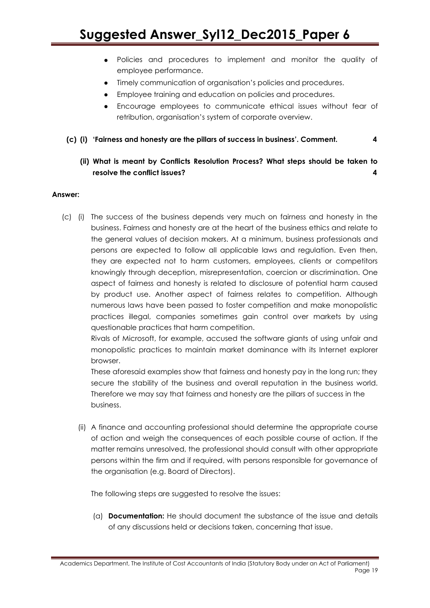- Policies and procedures to implement and monitor the quality of employee performance.
- Timely communication of organisation's policies and procedures.
- Employee training and education on policies and procedures.
- Encourage employees to communicate ethical issues without fear of retribution, organisation"s system of corporate overview.
- **(c) (i) "Fairness and honesty are the pillars of success in business". Comment. 4**

### **(ii) What is meant by Conflicts Resolution Process? What steps should be taken to resolve the conflict issues? 4**

#### **Answer:**

(c) (i) The success of the business depends very much on fairness and honesty in the business. Fairness and honesty are at the heart of the business ethics and relate to the general values of decision makers. At a minimum, business professionals and persons are expected to follow all applicable laws and regulation. Even then, they are expected not to harm customers, employees, clients or competitors knowingly through deception, misrepresentation, coercion or discrimination. One aspect of fairness and honesty is related to disclosure of potential harm caused by product use. Another aspect of fairness relates to competition. Although numerous laws have been passed to foster competition and make monopolistic practices illegal, companies sometimes gain control over markets by using questionable practices that harm competition.

Rivals of Microsoft, for example, accused the software giants of using unfair and monopolistic practices to maintain market dominance with its Internet explorer browser.

These aforesaid examples show that fairness and honesty pay in the long run; they secure the stability of the business and overall reputation in the business world. Therefore we may say that fairness and honesty are the pillars of success in the business.

(ii) A finance and accounting professional should determine the appropriate course of action and weigh the consequences of each possible course of action. If the matter remains unresolved, the professional should consult with other appropriate persons within the firm and if required, with persons responsible for governance of the organisation (e.g. Board of Directors).

The following steps are suggested to resolve the issues:

(a) **Documentation:** He should document the substance of the issue and details of any discussions held or decisions taken, concerning that issue.